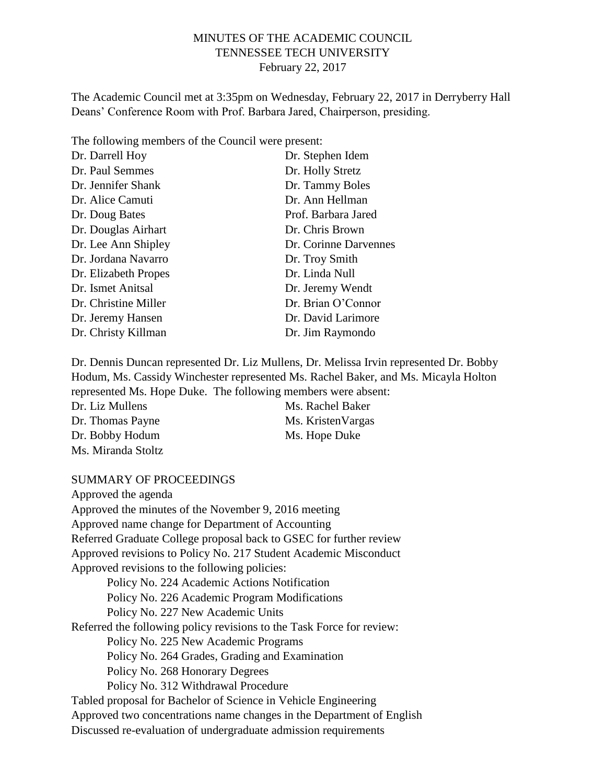## MINUTES OF THE ACADEMIC COUNCIL TENNESSEE TECH UNIVERSITY February 22, 2017

The Academic Council met at 3:35pm on Wednesday, February 22, 2017 in Derryberry Hall Deans' Conference Room with Prof. Barbara Jared, Chairperson, presiding.

The following members of the Council were present:

| Dr. Darrell Hoy      | Dr. Stephen Idem      |
|----------------------|-----------------------|
| Dr. Paul Semmes      | Dr. Holly Stretz      |
| Dr. Jennifer Shank   | Dr. Tammy Boles       |
| Dr. Alice Camuti     | Dr. Ann Hellman       |
| Dr. Doug Bates       | Prof. Barbara Jared   |
| Dr. Douglas Airhart  | Dr. Chris Brown       |
| Dr. Lee Ann Shipley  | Dr. Corinne Darvennes |
| Dr. Jordana Navarro  | Dr. Troy Smith        |
| Dr. Elizabeth Propes | Dr. Linda Null        |
| Dr. Ismet Anitsal    | Dr. Jeremy Wendt      |
| Dr. Christine Miller | Dr. Brian O'Connor    |
| Dr. Jeremy Hansen    | Dr. David Larimore    |
| Dr. Christy Killman  | Dr. Jim Raymondo      |

Dr. Dennis Duncan represented Dr. Liz Mullens, Dr. Melissa Irvin represented Dr. Bobby Hodum, Ms. Cassidy Winchester represented Ms. Rachel Baker, and Ms. Micayla Holton represented Ms. Hope Duke. The following members were absent:

| Dr. Liz Mullens    | Ms. Rachel Baker   |
|--------------------|--------------------|
| Dr. Thomas Payne   | Ms. Kristen Vargas |
| Dr. Bobby Hodum    | Ms. Hope Duke      |
| Ms. Miranda Stoltz |                    |

#### SUMMARY OF PROCEEDINGS

Approved the agenda Approved the minutes of the November 9, 2016 meeting Approved name change for Department of Accounting Referred Graduate College proposal back to GSEC for further review Approved revisions to Policy No. 217 Student Academic Misconduct Approved revisions to the following policies: Policy No. 224 Academic Actions Notification Policy No. 226 Academic Program Modifications Policy No. 227 New Academic Units Referred the following policy revisions to the Task Force for review: Policy No. 225 New Academic Programs Policy No. 264 Grades, Grading and Examination Policy No. 268 Honorary Degrees Policy No. 312 Withdrawal Procedure Tabled proposal for Bachelor of Science in Vehicle Engineering Approved two concentrations name changes in the Department of English Discussed re-evaluation of undergraduate admission requirements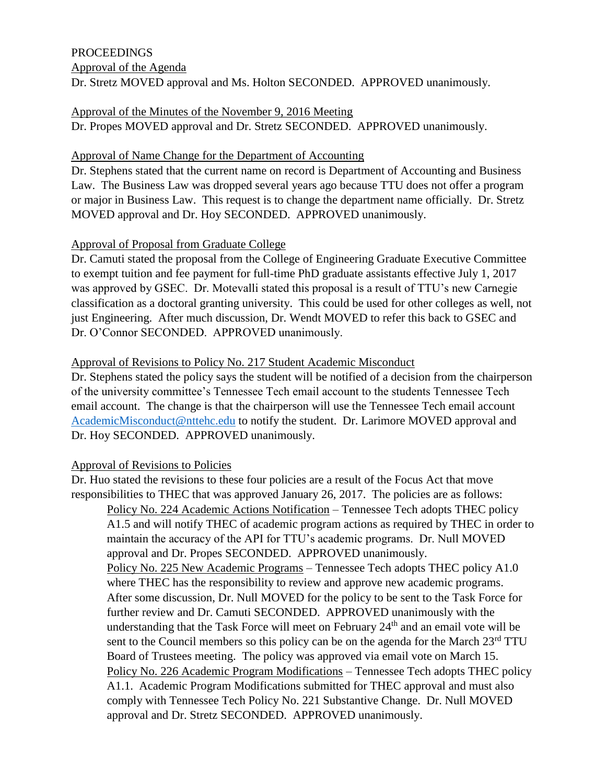## PROCEEDINGS Approval of the Agenda Dr. Stretz MOVED approval and Ms. Holton SECONDED. APPROVED unanimously.

#### Approval of the Minutes of the November 9, 2016 Meeting Dr. Propes MOVED approval and Dr. Stretz SECONDED. APPROVED unanimously.

## Approval of Name Change for the Department of Accounting

Dr. Stephens stated that the current name on record is Department of Accounting and Business Law. The Business Law was dropped several years ago because TTU does not offer a program or major in Business Law. This request is to change the department name officially. Dr. Stretz MOVED approval and Dr. Hoy SECONDED. APPROVED unanimously.

## Approval of Proposal from Graduate College

Dr. Camuti stated the proposal from the College of Engineering Graduate Executive Committee to exempt tuition and fee payment for full-time PhD graduate assistants effective July 1, 2017 was approved by GSEC. Dr. Motevalli stated this proposal is a result of TTU's new Carnegie classification as a doctoral granting university. This could be used for other colleges as well, not just Engineering. After much discussion, Dr. Wendt MOVED to refer this back to GSEC and Dr. O'Connor SECONDED. APPROVED unanimously.

## Approval of Revisions to Policy No. 217 Student Academic Misconduct

Dr. Stephens stated the policy says the student will be notified of a decision from the chairperson of the university committee's Tennessee Tech email account to the students Tennessee Tech email account. The change is that the chairperson will use the Tennessee Tech email account [AcademicMisconduct@nttehc.edu](mailto:AcademicMisconduct@nttehc.edu) to notify the student. Dr. Larimore MOVED approval and Dr. Hoy SECONDED. APPROVED unanimously.

# Approval of Revisions to Policies

Dr. Huo stated the revisions to these four policies are a result of the Focus Act that move responsibilities to THEC that was approved January 26, 2017. The policies are as follows: Policy No. 224 Academic Actions Notification – Tennessee Tech adopts THEC policy A1.5 and will notify THEC of academic program actions as required by THEC in order to maintain the accuracy of the API for TTU's academic programs. Dr. Null MOVED approval and Dr. Propes SECONDED. APPROVED unanimously. Policy No. 225 New Academic Programs – Tennessee Tech adopts THEC policy A1.0 where THEC has the responsibility to review and approve new academic programs. After some discussion, Dr. Null MOVED for the policy to be sent to the Task Force for further review and Dr. Camuti SECONDED. APPROVED unanimously with the understanding that the Task Force will meet on February 24<sup>th</sup> and an email vote will be sent to the Council members so this policy can be on the agenda for the March  $23<sup>rd</sup> TTU$ Board of Trustees meeting. The policy was approved via email vote on March 15. Policy No. 226 Academic Program Modifications – Tennessee Tech adopts THEC policy A1.1. Academic Program Modifications submitted for THEC approval and must also comply with Tennessee Tech Policy No. 221 Substantive Change. Dr. Null MOVED approval and Dr. Stretz SECONDED. APPROVED unanimously.